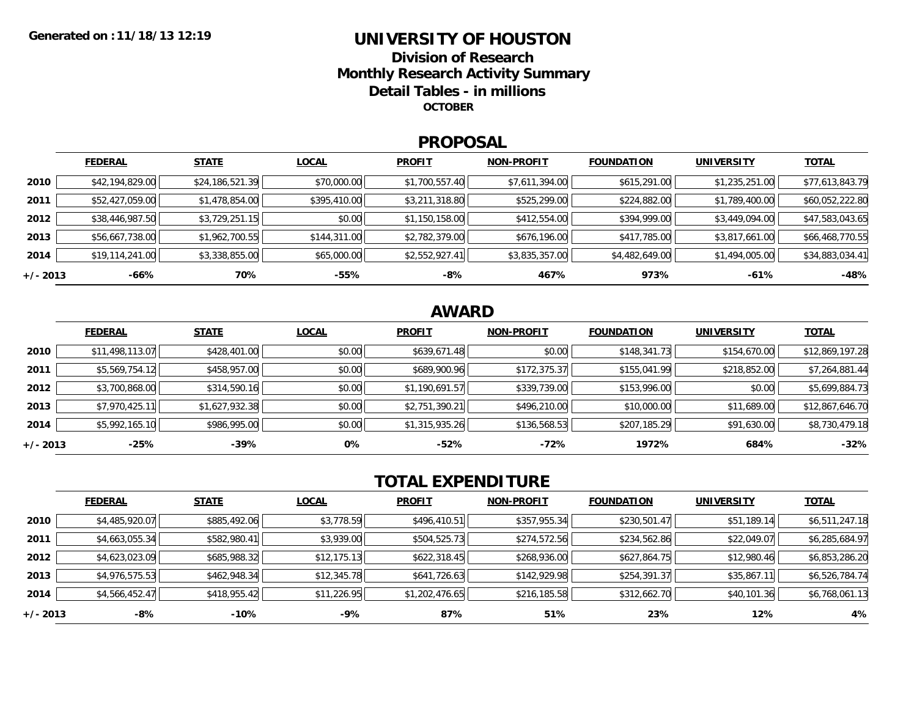## **UNIVERSITY OF HOUSTONDivision of ResearchMonthly Research Activity Summary Detail Tables - in millions OCTOBER**

### **PROPOSAL**

|            | <b>FEDERAL</b>  | <b>STATE</b>    | <b>LOCAL</b> | <b>PROFIT</b>  | <b>NON-PROFIT</b> | <b>FOUNDATION</b> | UNIVERSITY     | <u>TOTAL</u>    |
|------------|-----------------|-----------------|--------------|----------------|-------------------|-------------------|----------------|-----------------|
| 2010       | \$42,194,829.00 | \$24,186,521.39 | \$70,000.00  | \$1,700,557.40 | \$7,611,394.00    | \$615,291.00      | \$1,235,251.00 | \$77,613,843.79 |
| 2011       | \$52,427,059.00 | \$1,478,854.00  | \$395,410.00 | \$3,211,318.80 | \$525,299.00      | \$224,882.00      | \$1,789,400.00 | \$60,052,222.80 |
| 2012       | \$38,446,987.50 | \$3,729,251.15  | \$0.00       | \$1,150,158.00 | \$412,554.00      | \$394,999.00      | \$3,449,094.00 | \$47,583,043.65 |
| 2013       | \$56,667,738.00 | \$1,962,700.55  | \$144,311.00 | \$2,782,379.00 | \$676,196.00      | \$417,785.00      | \$3,817,661.00 | \$66,468,770.55 |
| 2014       | \$19,114,241.00 | \$3,338,855.00  | \$65,000.00  | \$2,552,927.41 | \$3,835,357.00    | \$4,482,649.00    | \$1,494,005.00 | \$34,883,034.41 |
| $+/- 2013$ | $-66%$          | 70%             | -55%         | -8%            | 467%              | 973%              | $-61%$         | $-48%$          |

# **AWARD**

|          | <b>FEDERAL</b>  | <b>STATE</b>   | <b>LOCAL</b> | <b>PROFIT</b>  | <b>NON-PROFIT</b> | <b>FOUNDATION</b> | <b>UNIVERSITY</b> | <b>TOTAL</b>    |
|----------|-----------------|----------------|--------------|----------------|-------------------|-------------------|-------------------|-----------------|
| 2010     | \$11,498,113.07 | \$428,401.00   | \$0.00       | \$639,671.48   | \$0.00            | \$148,341.73      | \$154,670.00      | \$12,869,197.28 |
| 2011     | \$5,569,754.12  | \$458,957.00   | \$0.00       | \$689,900.96   | \$172,375.37      | \$155,041.99      | \$218,852.00      | \$7,264,881.44  |
| 2012     | \$3,700,868.00  | \$314,590.16   | \$0.00       | \$1,190,691.57 | \$339,739.00      | \$153,996.00      | \$0.00            | \$5,699,884.73  |
| 2013     | \$7,970,425.11  | \$1,627,932.38 | \$0.00       | \$2,751,390.21 | \$496,210.00      | \$10,000.00       | \$11,689.00       | \$12,867,646.70 |
| 2014     | \$5,992,165.10  | \$986,995.00   | \$0.00       | \$1,315,935.26 | \$136,568.53      | \$207,185.29      | \$91,630.00       | \$8,730,479.18  |
| +/- 2013 | $-25%$          | $-39%$         | 0%           | -52%           | -72%              | 1972%             | 684%              | $-32%$          |

# **TOTAL EXPENDITURE**

|          | <b>FEDERAL</b> | <b>STATE</b> | <b>LOCAL</b> | <b>PROFIT</b>  | <b>NON-PROFIT</b> | <b>FOUNDATION</b> | <b>UNIVERSITY</b> | <b>TOTAL</b>   |
|----------|----------------|--------------|--------------|----------------|-------------------|-------------------|-------------------|----------------|
| 2010     | \$4,485,920.07 | \$885,492.06 | \$3,778.59   | \$496,410.51   | \$357,955.34      | \$230,501.47      | \$51,189.14       | \$6,511,247.18 |
| 2011     | \$4,663,055.34 | \$582,980.41 | \$3,939.00   | \$504,525.73   | \$274,572.56      | \$234,562.86      | \$22,049.07       | \$6,285,684.97 |
| 2012     | \$4,623,023.09 | \$685,988.32 | \$12,175.13  | \$622,318.45   | \$268,936.00      | \$627,864.75      | \$12,980.46       | \$6,853,286.20 |
| 2013     | \$4,976,575.53 | \$462,948.34 | \$12,345.78  | \$641,726.63   | \$142,929.98      | \$254,391.37      | \$35,867.11       | \$6,526,784.74 |
| 2014     | \$4,566,452.47 | \$418,955.42 | \$11,226.95  | \$1,202,476.65 | \$216,185.58      | \$312,662.70      | \$40,101.36       | \$6,768,061.13 |
| +/- 2013 | -8%            | $-10%$       | $-9%$        | 87%            | 51%               | 23%               | 12%               | 4%             |